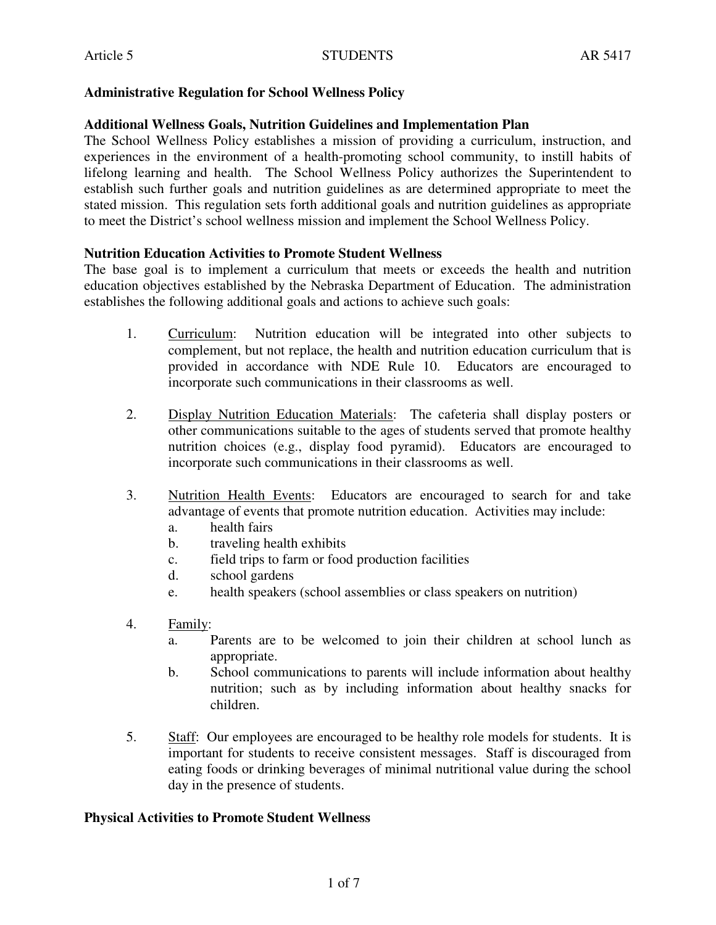## **Administrative Regulation for School Wellness Policy**

## **Additional Wellness Goals, Nutrition Guidelines and Implementation Plan**

The School Wellness Policy establishes a mission of providing a curriculum, instruction, and experiences in the environment of a health-promoting school community, to instill habits of lifelong learning and health. The School Wellness Policy authorizes the Superintendent to establish such further goals and nutrition guidelines as are determined appropriate to meet the stated mission. This regulation sets forth additional goals and nutrition guidelines as appropriate to meet the District's school wellness mission and implement the School Wellness Policy.

## **Nutrition Education Activities to Promote Student Wellness**

The base goal is to implement a curriculum that meets or exceeds the health and nutrition education objectives established by the Nebraska Department of Education. The administration establishes the following additional goals and actions to achieve such goals:

- 1. Curriculum: Nutrition education will be integrated into other subjects to complement, but not replace, the health and nutrition education curriculum that is provided in accordance with NDE Rule 10. Educators are encouraged to incorporate such communications in their classrooms as well.
- 2. Display Nutrition Education Materials: The cafeteria shall display posters or other communications suitable to the ages of students served that promote healthy nutrition choices (e.g., display food pyramid). Educators are encouraged to incorporate such communications in their classrooms as well.
- 3. Nutrition Health Events: Educators are encouraged to search for and take advantage of events that promote nutrition education. Activities may include:
	- a. health fairs
	- b. traveling health exhibits
	- c. field trips to farm or food production facilities
	- d. school gardens
	- e. health speakers (school assemblies or class speakers on nutrition)
- 4. Family:
	- a. Parents are to be welcomed to join their children at school lunch as appropriate.
	- b. School communications to parents will include information about healthy nutrition; such as by including information about healthy snacks for children.
- 5. Staff: Our employees are encouraged to be healthy role models for students. It is important for students to receive consistent messages. Staff is discouraged from eating foods or drinking beverages of minimal nutritional value during the school day in the presence of students.

#### **Physical Activities to Promote Student Wellness**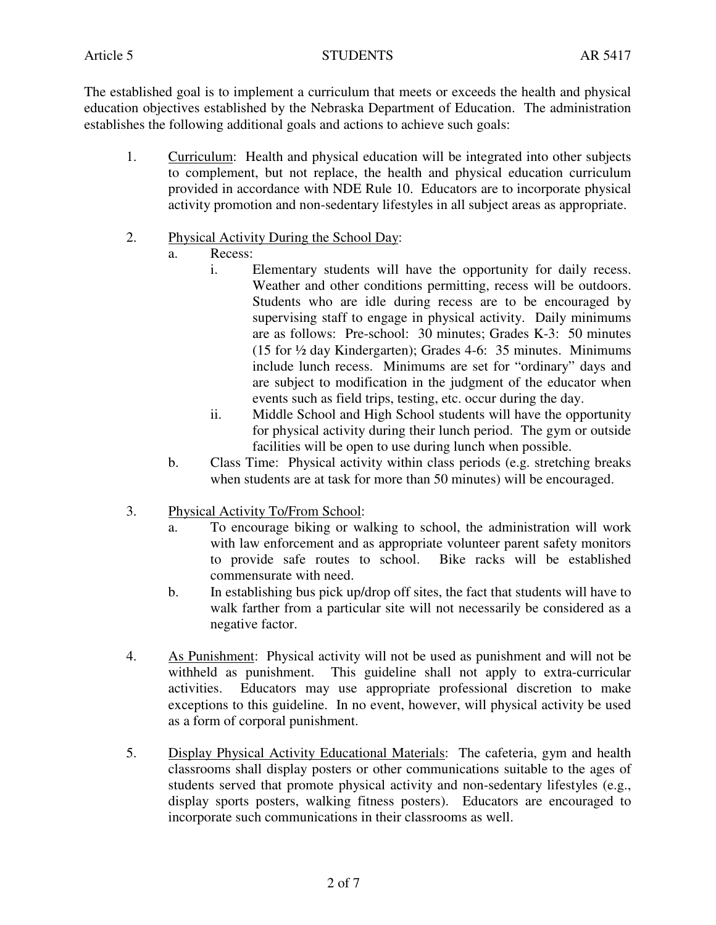Article 5 AR 5417

The established goal is to implement a curriculum that meets or exceeds the health and physical education objectives established by the Nebraska Department of Education. The administration establishes the following additional goals and actions to achieve such goals:

1. Curriculum: Health and physical education will be integrated into other subjects to complement, but not replace, the health and physical education curriculum provided in accordance with NDE Rule 10. Educators are to incorporate physical activity promotion and non-sedentary lifestyles in all subject areas as appropriate.

# 2. Physical Activity During the School Day:

- a. Recess:
	- i. Elementary students will have the opportunity for daily recess. Weather and other conditions permitting, recess will be outdoors. Students who are idle during recess are to be encouraged by supervising staff to engage in physical activity. Daily minimums are as follows: Pre-school: 30 minutes; Grades K-3: 50 minutes (15 for ½ day Kindergarten); Grades 4-6: 35 minutes. Minimums include lunch recess. Minimums are set for "ordinary" days and are subject to modification in the judgment of the educator when events such as field trips, testing, etc. occur during the day.
	- ii. Middle School and High School students will have the opportunity for physical activity during their lunch period. The gym or outside facilities will be open to use during lunch when possible.
- b. Class Time: Physical activity within class periods (e.g. stretching breaks when students are at task for more than 50 minutes) will be encouraged.
- 3. Physical Activity To/From School:
	- a. To encourage biking or walking to school, the administration will work with law enforcement and as appropriate volunteer parent safety monitors to provide safe routes to school. Bike racks will be established commensurate with need.
	- b. In establishing bus pick up/drop off sites, the fact that students will have to walk farther from a particular site will not necessarily be considered as a negative factor.
- 4. As Punishment: Physical activity will not be used as punishment and will not be withheld as punishment. This guideline shall not apply to extra-curricular activities. Educators may use appropriate professional discretion to make exceptions to this guideline. In no event, however, will physical activity be used as a form of corporal punishment.
- 5. Display Physical Activity Educational Materials: The cafeteria, gym and health classrooms shall display posters or other communications suitable to the ages of students served that promote physical activity and non-sedentary lifestyles (e.g., display sports posters, walking fitness posters). Educators are encouraged to incorporate such communications in their classrooms as well.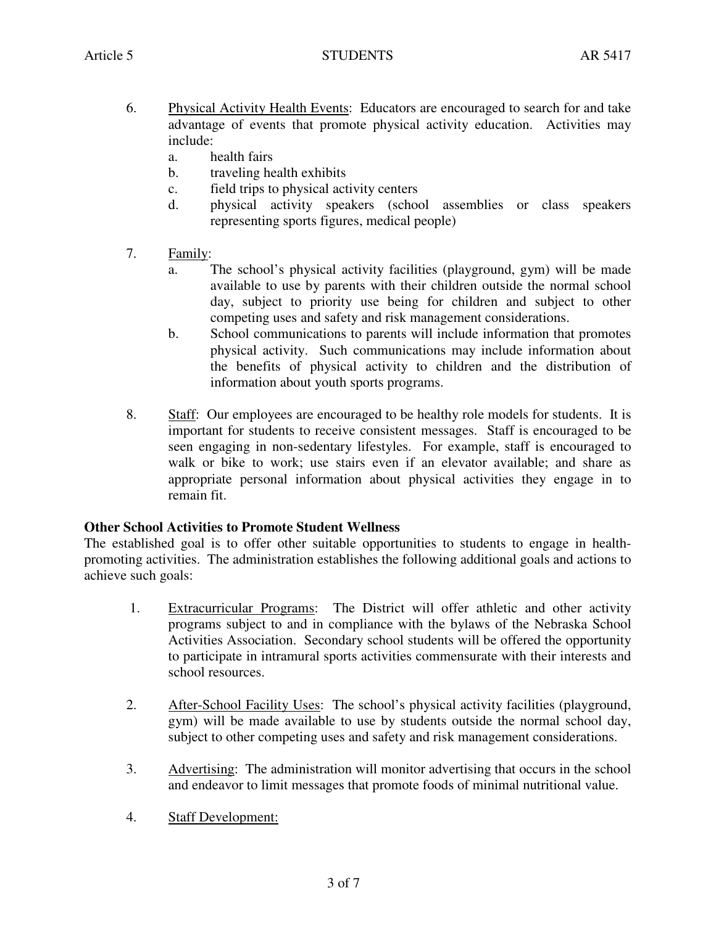- 6. Physical Activity Health Events: Educators are encouraged to search for and take advantage of events that promote physical activity education. Activities may include:
	- a. health fairs
	- b. traveling health exhibits
	- c. field trips to physical activity centers
	- d. physical activity speakers (school assemblies or class speakers representing sports figures, medical people)
- 7. Family:
	- a. The school's physical activity facilities (playground, gym) will be made available to use by parents with their children outside the normal school day, subject to priority use being for children and subject to other competing uses and safety and risk management considerations.
	- b. School communications to parents will include information that promotes physical activity. Such communications may include information about the benefits of physical activity to children and the distribution of information about youth sports programs.
- 8. Staff: Our employees are encouraged to be healthy role models for students. It is important for students to receive consistent messages. Staff is encouraged to be seen engaging in non-sedentary lifestyles. For example, staff is encouraged to walk or bike to work; use stairs even if an elevator available; and share as appropriate personal information about physical activities they engage in to remain fit.

## **Other School Activities to Promote Student Wellness**

The established goal is to offer other suitable opportunities to students to engage in healthpromoting activities. The administration establishes the following additional goals and actions to achieve such goals:

- 1. Extracurricular Programs: The District will offer athletic and other activity programs subject to and in compliance with the bylaws of the Nebraska School Activities Association. Secondary school students will be offered the opportunity to participate in intramural sports activities commensurate with their interests and school resources.
- 2. After-School Facility Uses: The school's physical activity facilities (playground, gym) will be made available to use by students outside the normal school day, subject to other competing uses and safety and risk management considerations.
- 3. Advertising: The administration will monitor advertising that occurs in the school and endeavor to limit messages that promote foods of minimal nutritional value.
- 4. Staff Development: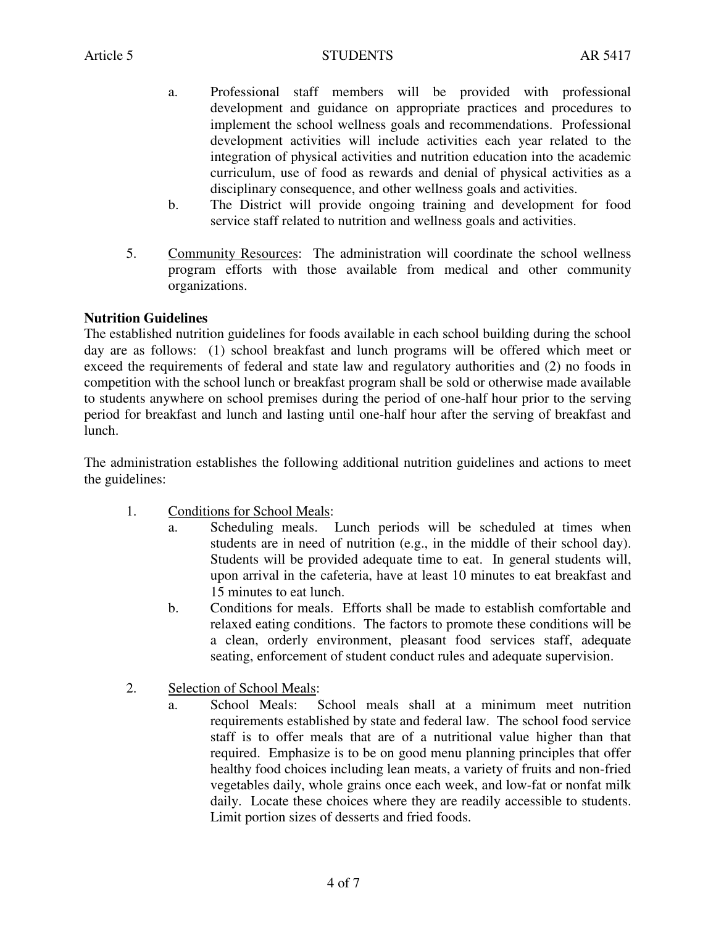- a. Professional staff members will be provided with professional development and guidance on appropriate practices and procedures to implement the school wellness goals and recommendations. Professional development activities will include activities each year related to the integration of physical activities and nutrition education into the academic curriculum, use of food as rewards and denial of physical activities as a disciplinary consequence, and other wellness goals and activities.
- b. The District will provide ongoing training and development for food service staff related to nutrition and wellness goals and activities.
- 5. Community Resources: The administration will coordinate the school wellness program efforts with those available from medical and other community organizations.

## **Nutrition Guidelines**

The established nutrition guidelines for foods available in each school building during the school day are as follows: (1) school breakfast and lunch programs will be offered which meet or exceed the requirements of federal and state law and regulatory authorities and (2) no foods in competition with the school lunch or breakfast program shall be sold or otherwise made available to students anywhere on school premises during the period of one-half hour prior to the serving period for breakfast and lunch and lasting until one-half hour after the serving of breakfast and lunch.

The administration establishes the following additional nutrition guidelines and actions to meet the guidelines:

- 1. Conditions for School Meals:
	- a. Scheduling meals. Lunch periods will be scheduled at times when students are in need of nutrition (e.g., in the middle of their school day). Students will be provided adequate time to eat. In general students will, upon arrival in the cafeteria, have at least 10 minutes to eat breakfast and 15 minutes to eat lunch.
	- b. Conditions for meals. Efforts shall be made to establish comfortable and relaxed eating conditions. The factors to promote these conditions will be a clean, orderly environment, pleasant food services staff, adequate seating, enforcement of student conduct rules and adequate supervision.
- 2. Selection of School Meals:
	- a. School Meals: School meals shall at a minimum meet nutrition requirements established by state and federal law. The school food service staff is to offer meals that are of a nutritional value higher than that required. Emphasize is to be on good menu planning principles that offer healthy food choices including lean meats, a variety of fruits and non-fried vegetables daily, whole grains once each week, and low-fat or nonfat milk daily. Locate these choices where they are readily accessible to students. Limit portion sizes of desserts and fried foods.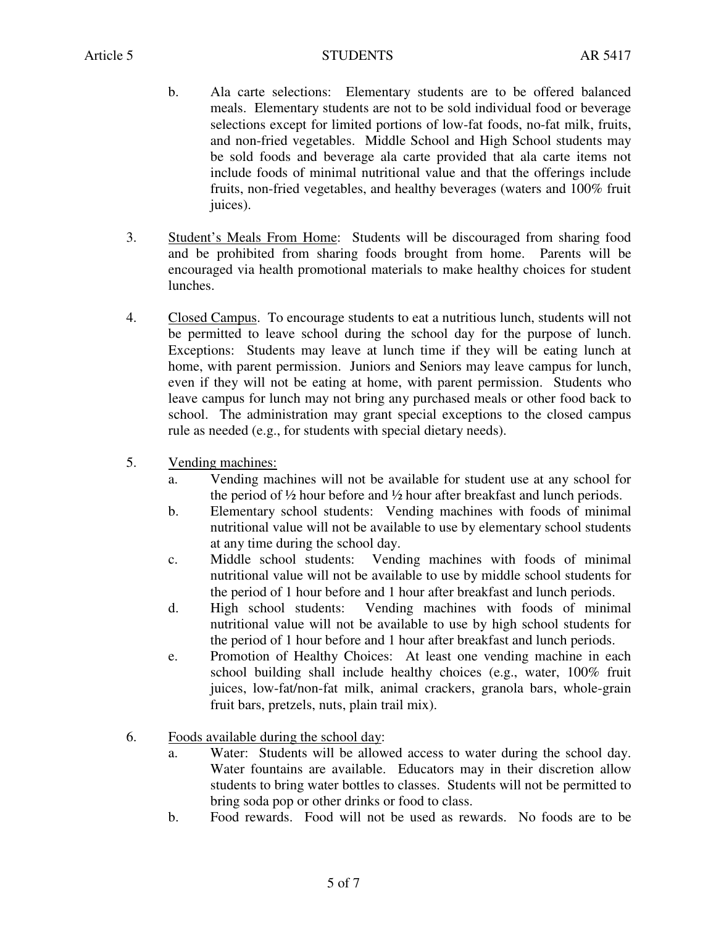- b. Ala carte selections: Elementary students are to be offered balanced meals. Elementary students are not to be sold individual food or beverage selections except for limited portions of low-fat foods, no-fat milk, fruits, and non-fried vegetables. Middle School and High School students may be sold foods and beverage ala carte provided that ala carte items not include foods of minimal nutritional value and that the offerings include fruits, non-fried vegetables, and healthy beverages (waters and 100% fruit juices).
- 3. Student's Meals From Home: Students will be discouraged from sharing food and be prohibited from sharing foods brought from home. Parents will be encouraged via health promotional materials to make healthy choices for student lunches.
- 4. Closed Campus. To encourage students to eat a nutritious lunch, students will not be permitted to leave school during the school day for the purpose of lunch. Exceptions: Students may leave at lunch time if they will be eating lunch at home, with parent permission. Juniors and Seniors may leave campus for lunch, even if they will not be eating at home, with parent permission. Students who leave campus for lunch may not bring any purchased meals or other food back to school. The administration may grant special exceptions to the closed campus rule as needed (e.g., for students with special dietary needs).
- 5. Vending machines:
	- a. Vending machines will not be available for student use at any school for the period of ½ hour before and ½ hour after breakfast and lunch periods.
	- b. Elementary school students: Vending machines with foods of minimal nutritional value will not be available to use by elementary school students at any time during the school day.
	- c. Middle school students: Vending machines with foods of minimal nutritional value will not be available to use by middle school students for the period of 1 hour before and 1 hour after breakfast and lunch periods.
	- d. High school students: Vending machines with foods of minimal nutritional value will not be available to use by high school students for the period of 1 hour before and 1 hour after breakfast and lunch periods.
	- e. Promotion of Healthy Choices: At least one vending machine in each school building shall include healthy choices (e.g., water, 100% fruit juices, low-fat/non-fat milk, animal crackers, granola bars, whole-grain fruit bars, pretzels, nuts, plain trail mix).
- 6. Foods available during the school day:
	- a. Water: Students will be allowed access to water during the school day. Water fountains are available. Educators may in their discretion allow students to bring water bottles to classes. Students will not be permitted to bring soda pop or other drinks or food to class.
	- b. Food rewards. Food will not be used as rewards. No foods are to be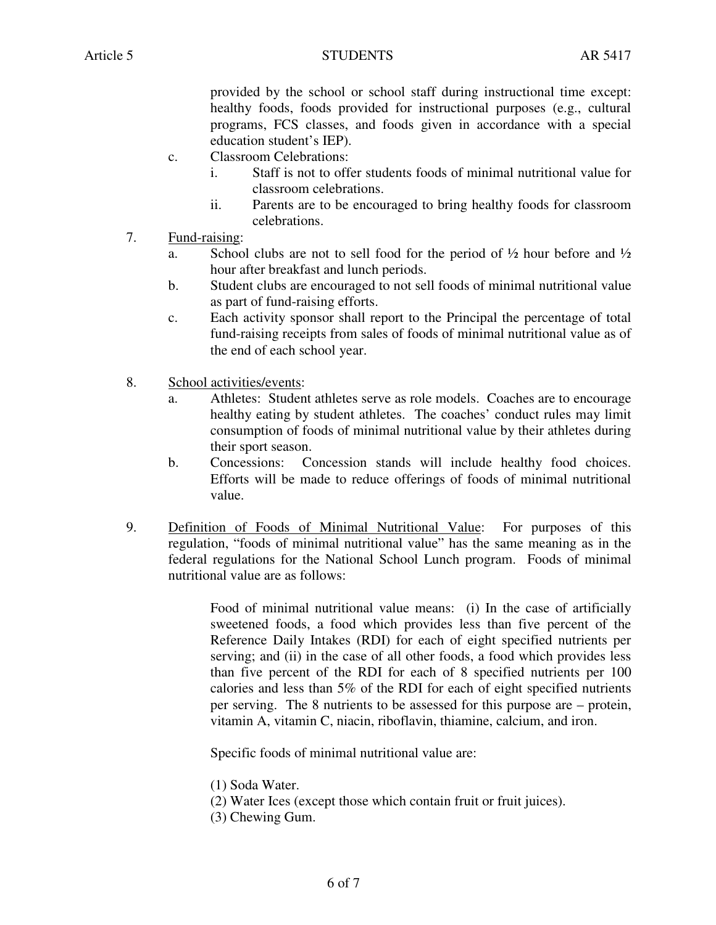provided by the school or school staff during instructional time except: healthy foods, foods provided for instructional purposes (e.g., cultural programs, FCS classes, and foods given in accordance with a special education student's IEP).

- c. Classroom Celebrations:
	- i. Staff is not to offer students foods of minimal nutritional value for classroom celebrations.
	- ii. Parents are to be encouraged to bring healthy foods for classroom celebrations.
- 7. Fund-raising:
	- a. School clubs are not to sell food for the period of  $\frac{1}{2}$  hour before and  $\frac{1}{2}$ hour after breakfast and lunch periods.
	- b. Student clubs are encouraged to not sell foods of minimal nutritional value as part of fund-raising efforts.
	- c. Each activity sponsor shall report to the Principal the percentage of total fund-raising receipts from sales of foods of minimal nutritional value as of the end of each school year.
- 8. School activities/events:
	- a. Athletes: Student athletes serve as role models. Coaches are to encourage healthy eating by student athletes. The coaches' conduct rules may limit consumption of foods of minimal nutritional value by their athletes during their sport season.
	- b. Concessions: Concession stands will include healthy food choices. Efforts will be made to reduce offerings of foods of minimal nutritional value.
- 9. Definition of Foods of Minimal Nutritional Value: For purposes of this regulation, "foods of minimal nutritional value" has the same meaning as in the federal regulations for the National School Lunch program. Foods of minimal nutritional value are as follows:

 Food of minimal nutritional value means: (i) In the case of artificially sweetened foods, a food which provides less than five percent of the Reference Daily Intakes (RDI) for each of eight specified nutrients per serving; and (ii) in the case of all other foods, a food which provides less than five percent of the RDI for each of 8 specified nutrients per 100 calories and less than 5% of the RDI for each of eight specified nutrients per serving. The 8 nutrients to be assessed for this purpose are – protein, vitamin A, vitamin C, niacin, riboflavin, thiamine, calcium, and iron.

Specific foods of minimal nutritional value are:

- (1) Soda Water.
- (2) Water Ices (except those which contain fruit or fruit juices).
- (3) Chewing Gum.